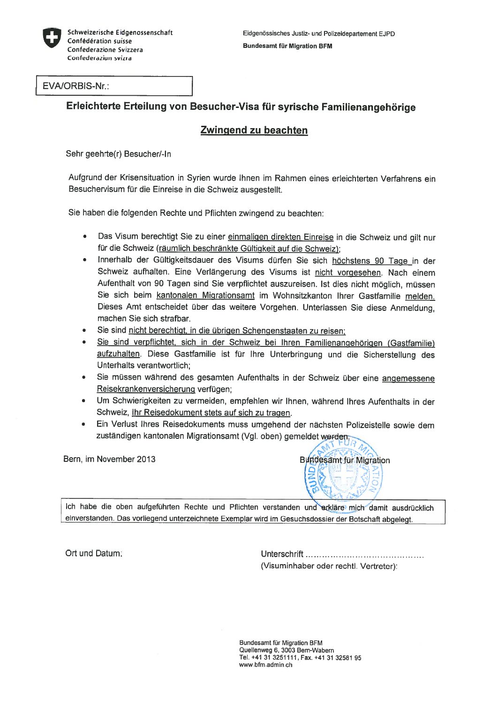

EVA/ORBIS-Nr.:

## Erleichterte Erteilung von Besucher-Visa für syrische Familienangehörige

## Zwingend zu beachten

Sehr geehrte(r) Besucher/-In

Aufgrund der Krisensituation in Syrien wurde Ihnen im Rahmen eines erleichterten Verfahrens ein Besuchervisum für die Einreise in die Schweiz ausgestellt.

Sie haben die folgenden Rechte und Pflichten zwingend zu beachten:

- • Das Visum berechtigt Sie zu einer einmaligen direkten Einreise in die Schweiz und <sup>g</sup>ilt nur für die Schweiz (räumlich beschränkte Gültigkeit auf die Schweiz);
- • Innerhalb der Gültigkeitsdauer des Visums dürfen Sie sich höchstens <sup>90</sup> Tage in der Schweiz aufhalten. Eine Verlängerung des Visums ist nicht vorgesehen. Nach einem Aufenthalt von <sup>90</sup> Tagen sind Sie verpflichtet auszureisen. Ist dies nicht möglich, müssen Sie sich beim kantonalen Migrationsamt im Wohnsitzkanton Ihrer Gastfamilie melden. Dieses Amt entscheidet über das weitere Vorgehen. Unterlassen Sie diese Anmeldung, machen Sie sich strafbar.
- •Sie sind nicht berechtigt, in die übrigen Schengenstaaten zu reisen;
- •Sie sind verpflichtet, sich in der Schweiz bei Ihren Familienangehörigen (Gastfamilie) aufzuhalten. Diese Gastfamilie ist für Ihre Unterbringung und die Sicherstellung des Unterhalts verantwortlich;
- Sie müssen während des gesamten Aufenthalts in der Schweiz über eine angemessene Reisekrankenversicherung verfügen;
- Um Schwierigkeiten zu vermeiden, empfehlen wir Ihnen, während Ihres Aufenthalts in der Schweiz, Ihr Reisedokument stets auf sich zu tragen.
- Ein Verlust Ihres Reisedokuments muss umgehend der nächsten Polizeistelle sowie dem zuständigen kantonalen Migrationsamt (Vgl. oben) gemeldet werden,

Bern, im November 2013



Ich habe die oben aufgeführten Rechte und Pflichten verstanden und erkläre mich damit ausdrücklich einverstanden. Das vorliegend unterzeichnete Exemplar wird im Gesuchsdossier der Botschaft abgelegt.

Ort und Datum: et al. et al. et al. et al. et al. et al. et al. et al. et al. et al. et al. et al. et al. et a (Visuminhaber oder rechtl. Vertreter):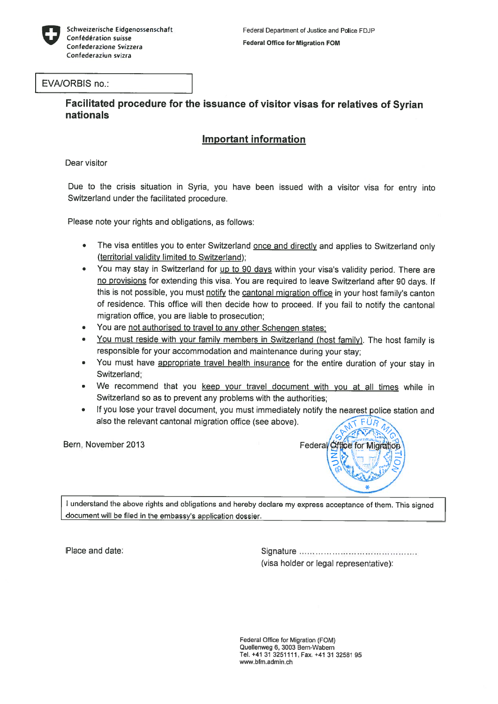

#### EVA/ORBIS no.:

Facilitated procedure for the issuance of visitor visas for relatives of Syrian nationals

## Important information

Dear visitor

Due to the crisis situation in Syria, you have been issued with <sup>a</sup> visitor visa for entry into Switzerland under the facilitated procedure.

Please note your rights and obligations, as follows:

- •The visa entitles you to enter Switzerland once and directly and applies to Switzerland only (territorial validity limited to Switzerland);
- •You may stay in Switzerland for up to 90 days within your visa's validity period. There are no provisions for extending this visa. You are required to leave Switzerland after 90 days. If this is not possible, you must notify the cantonal migration office in your host family's canton of residence. This office will then decide how to proceed. If you fail to notify the cantonal migration office, you are liable to prosecution;
- •You are not authorised to travel to any other Schengen states:
- •You must reside with your family members in Switzerland (host family). The host family is responsible for your accommodation and maintenance during your stay;
- •You must have appropriate travel health insurance for the entire duration of your stay in Switzerland;
- •We recommend that you keep your travel document with you at all times while in Switzerland so as to preven<sup>t</sup> any problems with the authorities;
- •If you lose your travel document, you must immediately notify the nearest police station and also the relevant cantonal migration office (see above).



<sup>1</sup> understand the above rights and obligations and hereby deciare my express acceptance of them. This signed document will be filed in the embassy's application dossier.

Place and date: The Signature Communication of the Signature Communication of Signature Communication of the S (visa holder or legal representative):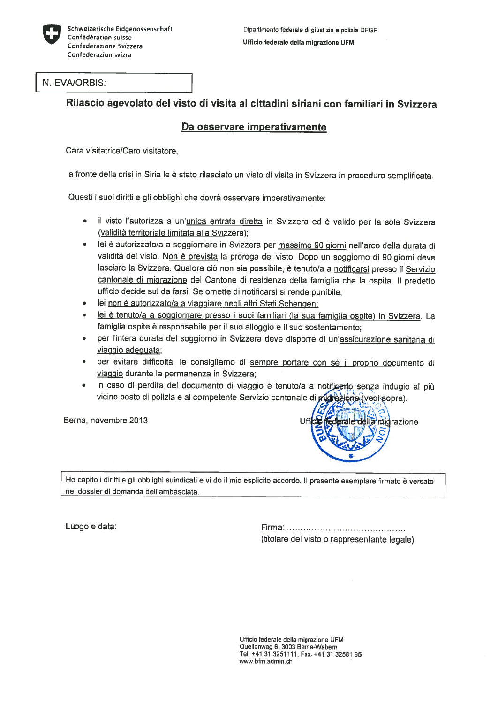

#### N. EVA/ORBIS:

### Rilascio agevolato del visto di visita ai cittadini siriani con familiari in Svizzera

### Da osservare imperativamente

Cara visitatrice/Caro visitatore,

a fronte della crisi in Siria le è stato rilasciato un visto di visita in Svizzera in procedura semplificata.

Questi i suoi diritti e gli obblighi che dovrà osservare imperativamente:

- •il visto l'autorizza a un'unica entrata diretta in Svizzera ed è valido per la sola Svizzera (validità territoriale limitata alla Svizzera);
- •lei è autorizzato/a a soggiornare in Svizzera per massimo 90 giorni nell'arco della durata di validità del visto. Non è prevista la proroga del visto. Dopo un soggiorno di 90 giorni deve lasciare la Svizzera. Qualora ciò non sia possibile, è tenuto/a a notificarsi presso il Servizio cantonale di migrazione del Cantone di residenza della famiglia che la ospita. II predetto ufficio decide sul da farsi. Se omette di notificarsi si rende punibile;
- •lei non è autorizzato/a a viaggiare negli altri Stati Schengen;
- •lei è tenuto/a a soggiornare presso i suoi familiari (la sua famiglia ospite) in Svizzera. La famiglia ospite è responsabile per il suo alloggio e il suo sostentamento;
- per l'intera durata del soggiorno in Svizzera deve disporre di un'assicurazione sanitaria di viaggio adeguata;
- •per evitare difficoltà, le consigliamo di sempre portare con sé il proprio documento di viaggio durante la permanenza in Svizzera;
- •in caso di perdita del documento di viaggio è tenuto/a a notificarlo senza indugio al più vicino posto di polizia e al competente Servizio cantonale di *plus ezione* (vedi sopra).



Ho capito i diritti e gli obblighi suindicati e vi do il mio esplicito accordo. Il presente esemplare firmato è versato nel dossier di domanda dell'ambasciata.

Luogo e data: etiam etiam etiam etiam etiam etiam etiam etiam etiam etiam etiam etiam etiam etiam etiam etiam e (titolare del visto <sup>o</sup> rappresentante legale)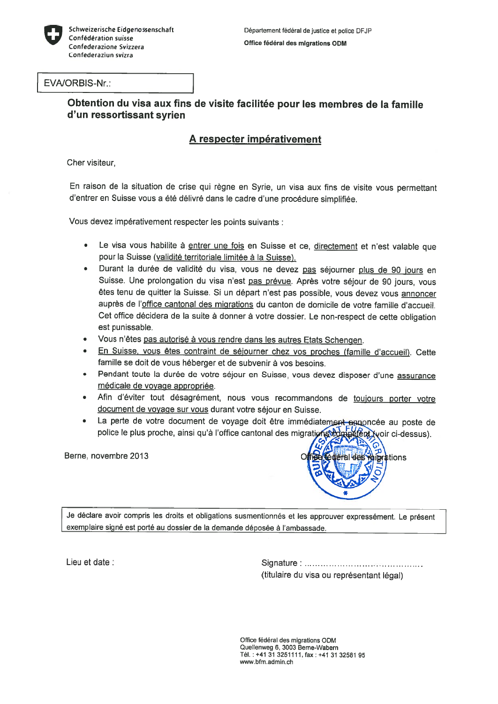

#### EVA/ORBIS-Nr.:

#### Obtention du visa aux fins de visite facilitée pour les membres de la famille d'un ressortissant Syrien

# A respecter impérativement

Cher visiteur,

En raison de la situation de crise qui règne en Syrie, un visa aux fins de visite vous permettant d'entrer en Suisse vous a été délivré dans le cadre d'une procédure simplifiée.

Vous devez impérativement respecter les points suivants :

- •Le visa vous habilite à entrer une fois en Suisse et ce, directement et n'est valable que pour la Suisse (validité territoriale limitée à la Suisse).
- •Durant la durée de validité du visa, vous ne devez pas séjourner plus de 90 jours en Suisse. Une prolongation du visa n'est pas prévue. Après votre séjour de 90 jours, vous êtes tenu de quitter la Suisse. Si un départ n'est pas possible, vous devez vous annoncer auprès de l'office cantonal des migrations du canton de domicile de votre famille d'accueil. Cet office décidera de la suite à donner à votre dossier. Le non-respect de cette obligation est punissable.
- •Vous n'êtes pas autorisé à vous rendre dans les autres Etats Schengen.
- •En Suisse, vous êtes contraint de séjourner chez vos proches (famille d'accueil). Cette famille se doit de vous héberger et de subvenir à vos besoins.
- •Pendant toute la durée de votre séjour en Suisse, vous devez disposer d'une assurance médicale de voyage appropriée.
- Afin d'éviter tout désagrément, nous vous recommandons de <u>toujours porter votre</u> document de voyage sur vous durant votre séjour en Suisse.
- •La perte de votre document de voyage doit être immédiatement ennoncée au poste de police le plus proche, ainsi qu'à l'office cantonal des migrations doute le plus proir ci-dessus).



Je déclare avoir compris les droits et obligations susmentionnés et les approuver expressément. Le présent exemplaire signé est porté au dossier de la demande déposée à l'ambassade.

Lieu et date : www.seconomic.com Signature: www.seconomic.com Signature: www.seconomic.com Signature: www.seconomic.com Signature: www.seconomic.com Signature: www.seconomic.com Signature: www.seconomic.com Signature: www. (titulaire du visa ou représentant légal)